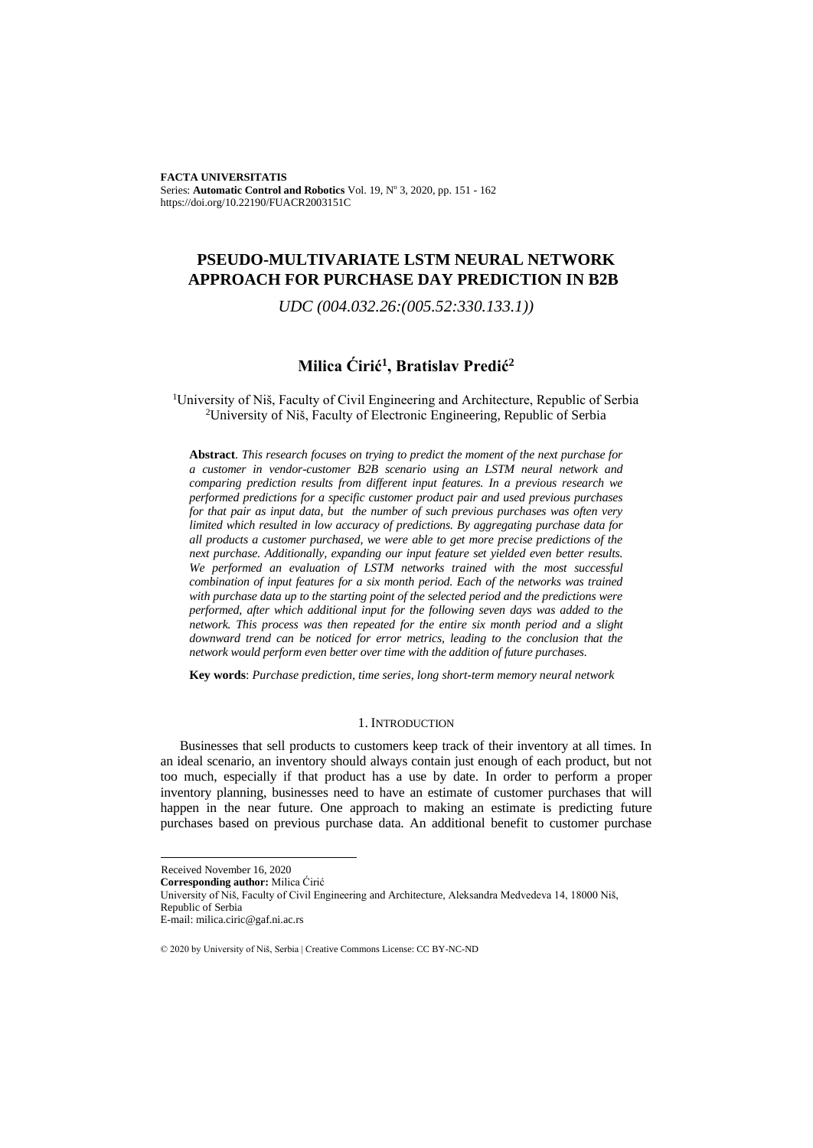**FACTA UNIVERSITATIS**  Series: **Automatic Control and Robotics** Vol. 19, Nº 3, 2020, pp. 151 - 162 https://doi.org/10.22190/FUACR2003151C

# **PSEUDO-MULTIVARIATE LSTM NEURAL NETWORK APPROACH FOR PURCHASE DAY PREDICTION IN B2B**

*UDC (004.032.26:(005.52:330.133.1))*

## **Milica Ćirić<sup>1</sup> , Bratislav Predić<sup>2</sup>**

<sup>1</sup>University of Niš, Faculty of Civil Engineering and Architecture, Republic of Serbia <sup>2</sup>University of Niš, Faculty of Electronic Engineering, Republic of Serbia

**Abstract**. *This research focuses on trying to predict the moment of the next purchase for a customer in vendor-customer B2B scenario using an LSTM neural network and comparing prediction results from different input features. In a previous research we performed predictions for a specific customer product pair and used previous purchases for that pair as input data, but the number of such previous purchases was often very limited which resulted in low accuracy of predictions. By aggregating purchase data for all products a customer purchased, we were able to get more precise predictions of the next purchase. Additionally, expanding our input feature set yielded even better results. We performed an evaluation of LSTM networks trained with the most successful combination of input features for a six month period. Each of the networks was trained with purchase data up to the starting point of the selected period and the predictions were performed, after which additional input for the following seven days was added to the network. This process was then repeated for the entire six month period and a slight downward trend can be noticed for error metrics, leading to the conclusion that the network would perform even better over time with the addition of future purchases.*

**Key words**: *Purchase prediction, time series, long short-term memory neural network*

#### 1. INTRODUCTION

Businesses that sell products to customers keep track of their inventory at all times. In an ideal scenario, an inventory should always contain just enough of each product, but not too much, especially if that product has a use by date. In order to perform a proper inventory planning, businesses need to have an estimate of customer purchases that will happen in the near future. One approach to making an estimate is predicting future purchases based on previous purchase data. An additional benefit to customer purchase

Received November 16, 2020

**Corresponding author:** Milica Ćirić

University of Niš, Faculty of Civil Engineering and Architecture, Aleksandra Medvedeva 14, 18000 Niš, Republic of Serbia

E-mail: milica.ciric@gaf.ni.ac.rs

<sup>© 2020</sup> by University of Niš, Serbia | Creative Commons License: CC BY-NC-ND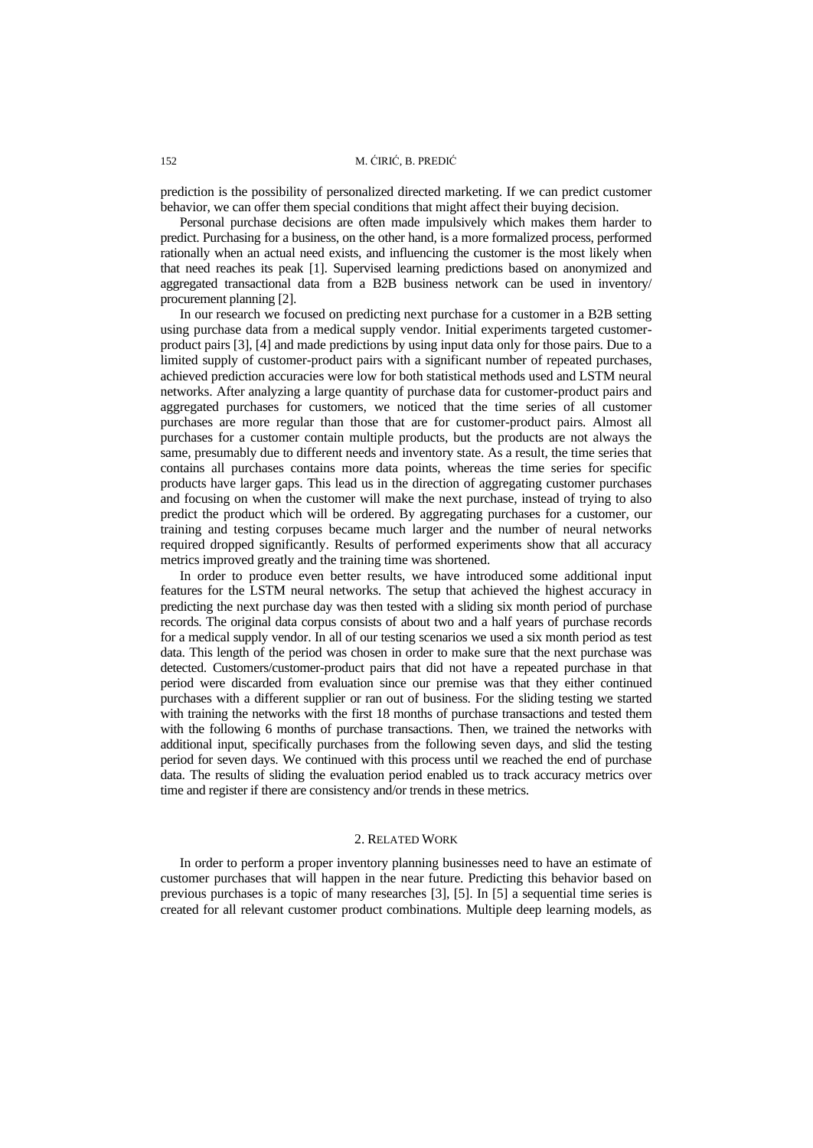prediction is the possibility of personalized directed marketing. If we can predict customer behavior, we can offer them special conditions that might affect their buying decision.

Personal purchase decisions are often made impulsively which makes them harder to predict. Purchasing for a business, on the other hand, is a more formalized process, performed rationally when an actual need exists, and influencing the customer is the most likely when that need reaches its peak [1]. Supervised learning predictions based on anonymized and aggregated transactional data from a B2B business network can be used in inventory/ procurement planning [2].

In our research we focused on predicting next purchase for a customer in a B2B setting using purchase data from a medical supply vendor. Initial experiments targeted customerproduct pairs [3], [4] and made predictions by using input data only for those pairs. Due to a limited supply of customer-product pairs with a significant number of repeated purchases, achieved prediction accuracies were low for both statistical methods used and LSTM neural networks. After analyzing a large quantity of purchase data for customer-product pairs and aggregated purchases for customers, we noticed that the time series of all customer purchases are more regular than those that are for customer-product pairs. Almost all purchases for a customer contain multiple products, but the products are not always the same, presumably due to different needs and inventory state. As a result, the time series that contains all purchases contains more data points, whereas the time series for specific products have larger gaps. This lead us in the direction of aggregating customer purchases and focusing on when the customer will make the next purchase, instead of trying to also predict the product which will be ordered. By aggregating purchases for a customer, our training and testing corpuses became much larger and the number of neural networks required dropped significantly. Results of performed experiments show that all accuracy metrics improved greatly and the training time was shortened.

In order to produce even better results, we have introduced some additional input features for the LSTM neural networks. The setup that achieved the highest accuracy in predicting the next purchase day was then tested with a sliding six month period of purchase records. The original data corpus consists of about two and a half years of purchase records for a medical supply vendor. In all of our testing scenarios we used a six month period as test data. This length of the period was chosen in order to make sure that the next purchase was detected. Customers/customer-product pairs that did not have a repeated purchase in that period were discarded from evaluation since our premise was that they either continued purchases with a different supplier or ran out of business. For the sliding testing we started with training the networks with the first 18 months of purchase transactions and tested them with the following 6 months of purchase transactions. Then, we trained the networks with additional input, specifically purchases from the following seven days, and slid the testing period for seven days. We continued with this process until we reached the end of purchase data. The results of sliding the evaluation period enabled us to track accuracy metrics over time and register if there are consistency and/or trends in these metrics.

## 2. RELATED WORK

In order to perform a proper inventory planning businesses need to have an estimate of customer purchases that will happen in the near future. Predicting this behavior based on previous purchases is a topic of many researches [3], [5]. In [5] a sequential time series is created for all relevant customer product combinations. Multiple deep learning models, as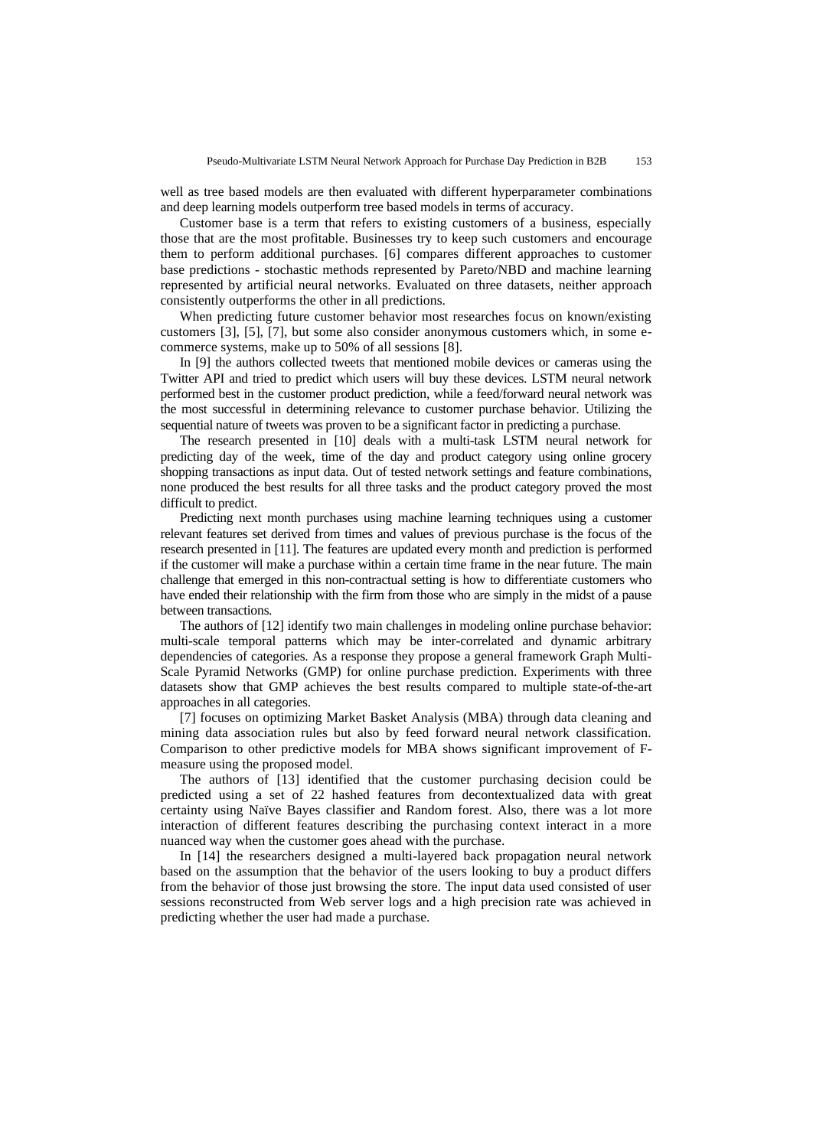well as tree based models are then evaluated with different hyperparameter combinations and deep learning models outperform tree based models in terms of accuracy.

Customer base is a term that refers to existing customers of a business, especially those that are the most profitable. Businesses try to keep such customers and encourage them to perform additional purchases. [6] compares different approaches to customer base predictions - stochastic methods represented by Pareto/NBD and machine learning represented by artificial neural networks. Evaluated on three datasets, neither approach consistently outperforms the other in all predictions.

When predicting future customer behavior most researches focus on known/existing customers [3], [5], [7], but some also consider anonymous customers which, in some ecommerce systems, make up to 50% of all sessions [8].

In [9] the authors collected tweets that mentioned mobile devices or cameras using the Twitter API and tried to predict which users will buy these devices. LSTM neural network performed best in the customer product prediction, while a feed/forward neural network was the most successful in determining relevance to customer purchase behavior. Utilizing the sequential nature of tweets was proven to be a significant factor in predicting a purchase.

The research presented in [10] deals with a multi-task LSTM neural network for predicting day of the week, time of the day and product category using online grocery shopping transactions as input data. Out of tested network settings and feature combinations, none produced the best results for all three tasks and the product category proved the most difficult to predict.

Predicting next month purchases using machine learning techniques using a customer relevant features set derived from times and values of previous purchase is the focus of the research presented in [11]. The features are updated every month and prediction is performed if the customer will make a purchase within a certain time frame in the near future. The main challenge that emerged in this non-contractual setting is how to differentiate customers who have ended their relationship with the firm from those who are simply in the midst of a pause between transactions.

The authors of [12] identify two main challenges in modeling online purchase behavior: multi-scale temporal patterns which may be inter-correlated and dynamic arbitrary dependencies of categories. As a response they propose a general framework Graph Multi-Scale Pyramid Networks (GMP) for online purchase prediction. Experiments with three datasets show that GMP achieves the best results compared to multiple state-of-the-art approaches in all categories.

[7] focuses on optimizing Market Basket Analysis (MBA) through data cleaning and mining data association rules but also by feed forward neural network classification. Comparison to other predictive models for MBA shows significant improvement of Fmeasure using the proposed model.

The authors of [13] identified that the customer purchasing decision could be predicted using a set of 22 hashed features from decontextualized data with great certainty using Naïve Bayes classifier and Random forest. Also, there was a lot more interaction of different features describing the purchasing context interact in a more nuanced way when the customer goes ahead with the purchase.

In [14] the researchers designed a multi-layered back propagation neural network based on the assumption that the behavior of the users looking to buy a product differs from the behavior of those just browsing the store. The input data used consisted of user sessions reconstructed from Web server logs and a high precision rate was achieved in predicting whether the user had made a purchase.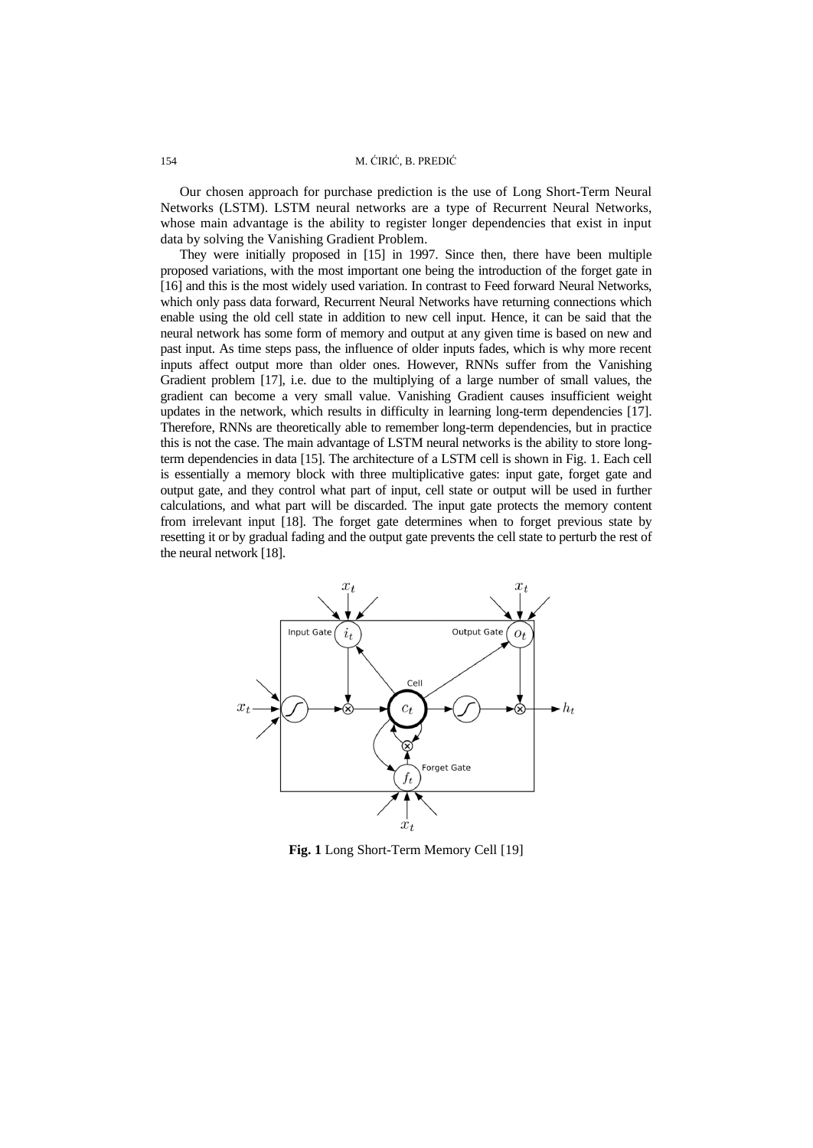## 154 M. ĆIRIĆ, B. PREDIĆ

Our chosen approach for purchase prediction is the use of Long Short-Term Neural Networks (LSTM). LSTM neural networks are a type of Recurrent Neural Networks, whose main advantage is the ability to register longer dependencies that exist in input data by solving the Vanishing Gradient Problem.

They were initially proposed in [15] in 1997. Since then, there have been multiple proposed variations, with the most important one being the introduction of the forget gate in [16] and this is the most widely used variation. In contrast to Feed forward Neural Networks, which only pass data forward, Recurrent Neural Networks have returning connections which enable using the old cell state in addition to new cell input. Hence, it can be said that the neural network has some form of memory and output at any given time is based on new and past input. As time steps pass, the influence of older inputs fades, which is why more recent inputs affect output more than older ones. However, RNNs suffer from the Vanishing Gradient problem [17], i.e. due to the multiplying of a large number of small values, the gradient can become a very small value. Vanishing Gradient causes insufficient weight updates in the network, which results in difficulty in learning long-term dependencies [17]. Therefore, RNNs are theoretically able to remember long-term dependencies, but in practice this is not the case. The main advantage of LSTM neural networks is the ability to store longterm dependencies in data [15]. The architecture of a LSTM cell is shown in Fig. 1. Each cell is essentially a memory block with three multiplicative gates: input gate, forget gate and output gate, and they control what part of input, cell state or output will be used in further calculations, and what part will be discarded. The input gate protects the memory content from irrelevant input [18]. The forget gate determines when to forget previous state by resetting it or by gradual fading and the output gate prevents the cell state to perturb the rest of the neural network [18].



**Fig. 1** Long Short-Term Memory Cell [19]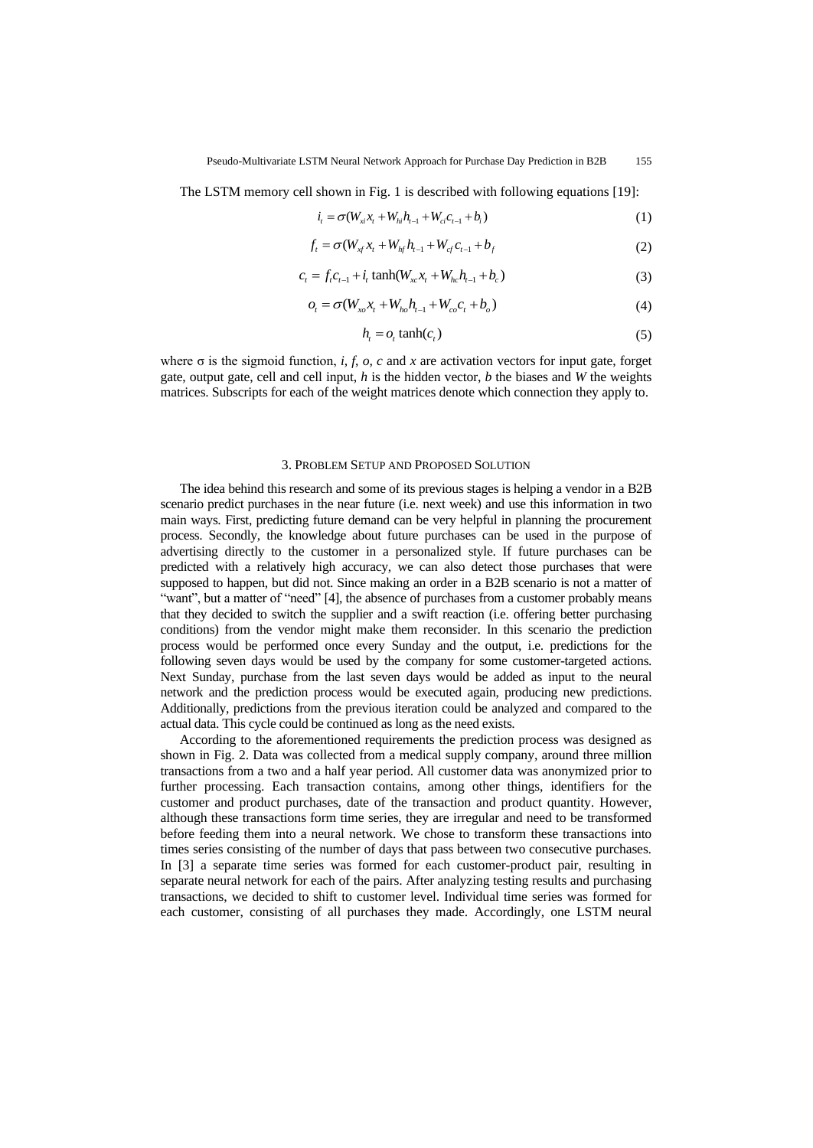The LSTM memory cell shown in Fig. 1 is described with following equations [19]:

$$
i_{t} = \sigma(W_{x}x_{t} + W_{hi}h_{t-1} + W_{ci}c_{t-1} + b_{i})
$$
\n(1)

$$
f_t = \sigma(W_{xf} x_t + W_{hf} h_{t-1} + W_{cf} c_{t-1} + b_f)
$$
\n(2)

$$
c_{t} = f_{t}c_{t-1} + i_{t} \tanh(W_{xc}x_{t} + W_{hc}h_{t-1} + b_{c})
$$
\n(3)

$$
o_t = \sigma(W_{xo}x_t + W_{ho}h_{t-1} + W_{co}c_t + b_o)
$$
\n(4)

$$
h_t = o_t \tanh(c_t) \tag{5}
$$

where  $\sigma$  is the sigmoid function, *i*, *f*, *o*, *c* and *x* are activation vectors for input gate, forget gate, output gate, cell and cell input, *h* is the hidden vector, *b* the biases and *W* the weights matrices. Subscripts for each of the weight matrices denote which connection they apply to.

#### 3. PROBLEM SETUP AND PROPOSED SOLUTION

The idea behind this research and some of its previous stages is helping a vendor in a B2B scenario predict purchases in the near future (i.e. next week) and use this information in two main ways. First, predicting future demand can be very helpful in planning the procurement process. Secondly, the knowledge about future purchases can be used in the purpose of advertising directly to the customer in a personalized style. If future purchases can be predicted with a relatively high accuracy, we can also detect those purchases that were supposed to happen, but did not. Since making an order in a B2B scenario is not a matter of "want", but a matter of "need" [4], the absence of purchases from a customer probably means that they decided to switch the supplier and a swift reaction (i.e. offering better purchasing conditions) from the vendor might make them reconsider. In this scenario the prediction process would be performed once every Sunday and the output, i.e. predictions for the following seven days would be used by the company for some customer-targeted actions. Next Sunday, purchase from the last seven days would be added as input to the neural network and the prediction process would be executed again, producing new predictions. Additionally, predictions from the previous iteration could be analyzed and compared to the actual data. This cycle could be continued as long as the need exists.

According to the aforementioned requirements the prediction process was designed as shown in Fig. 2. Data was collected from a medical supply company, around three million transactions from a two and a half year period. All customer data was anonymized prior to further processing. Each transaction contains, among other things, identifiers for the customer and product purchases, date of the transaction and product quantity. However, although these transactions form time series, they are irregular and need to be transformed before feeding them into a neural network. We chose to transform these transactions into times series consisting of the number of days that pass between two consecutive purchases. In [3] a separate time series was formed for each customer-product pair, resulting in separate neural network for each of the pairs. After analyzing testing results and purchasing transactions, we decided to shift to customer level. Individual time series was formed for each customer, consisting of all purchases they made. Accordingly, one LSTM neural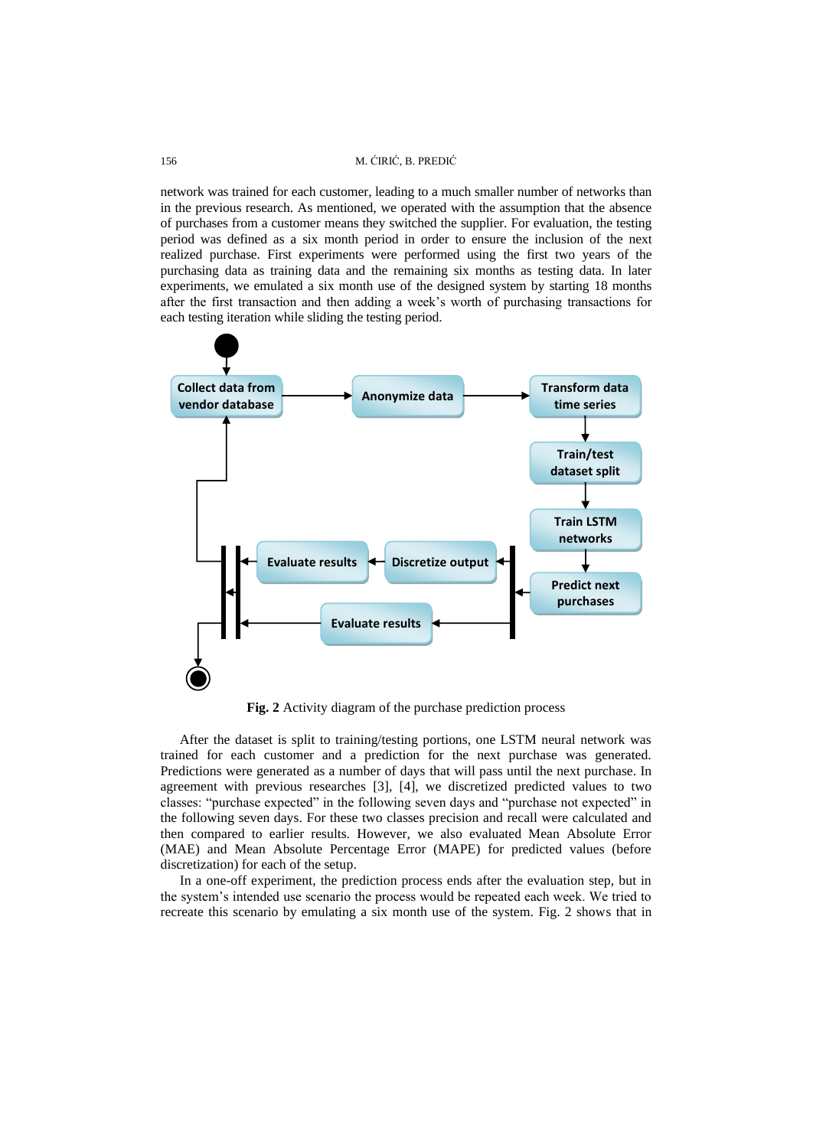## 156 M. ĆIRIĆ, B. PREDIĆ

network was trained for each customer, leading to a much smaller number of networks than in the previous research. As mentioned, we operated with the assumption that the absence of purchases from a customer means they switched the supplier. For evaluation, the testing period was defined as a six month period in order to ensure the inclusion of the next realized purchase. First experiments were performed using the first two years of the purchasing data as training data and the remaining six months as testing data. In later experiments, we emulated a six month use of the designed system by starting 18 months after the first transaction and then adding a week's worth of purchasing transactions for each testing iteration while sliding the testing period.



**Fig. 2** Activity diagram of the purchase prediction process

After the dataset is split to training/testing portions, one LSTM neural network was trained for each customer and a prediction for the next purchase was generated. Predictions were generated as a number of days that will pass until the next purchase. In agreement with previous researches [3], [4], we discretized predicted values to two classes: "purchase expected" in the following seven days and "purchase not expected" in the following seven days. For these two classes precision and recall were calculated and then compared to earlier results. However, we also evaluated Mean Absolute Error (MAE) and Mean Absolute Percentage Error (MAPE) for predicted values (before discretization) for each of the setup.

In a one-off experiment, the prediction process ends after the evaluation step, but in the system's intended use scenario the process would be repeated each week. We tried to recreate this scenario by emulating a six month use of the system. Fig. 2 shows that in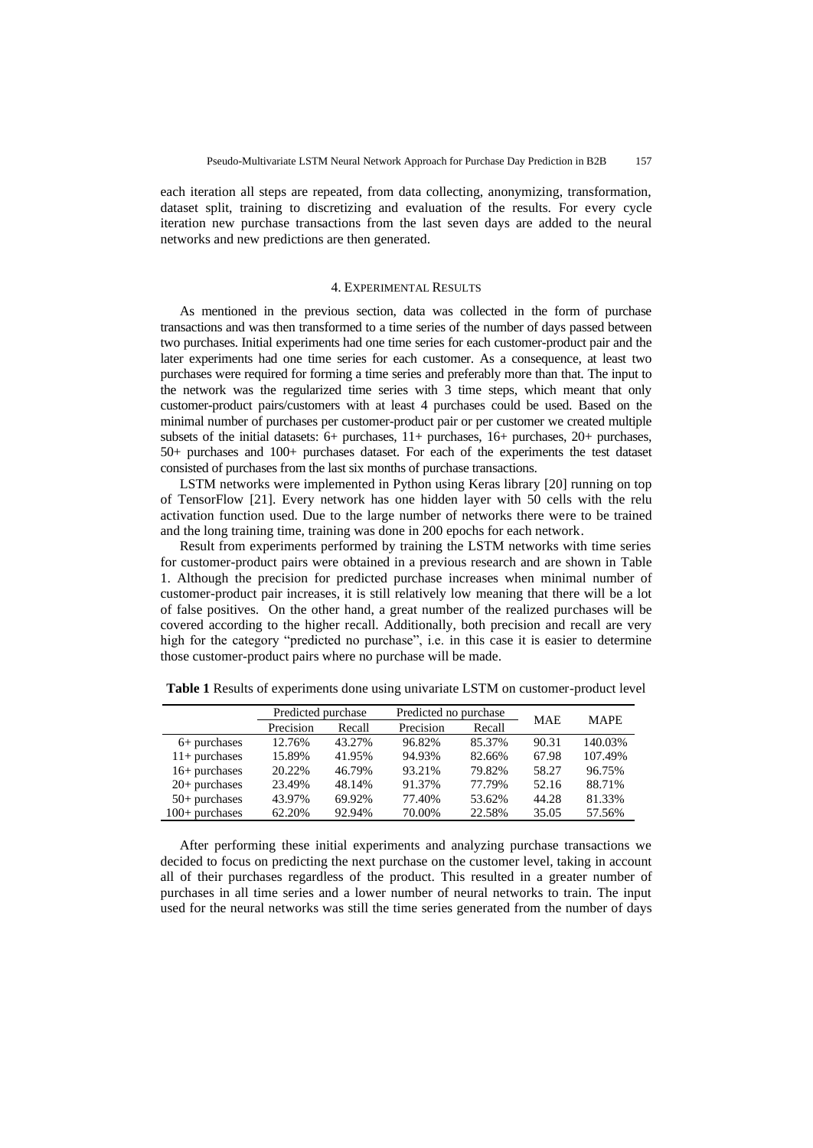each iteration all steps are repeated, from data collecting, anonymizing, transformation, dataset split, training to discretizing and evaluation of the results. For every cycle iteration new purchase transactions from the last seven days are added to the neural networks and new predictions are then generated.

## 4. EXPERIMENTAL RESULTS

As mentioned in the previous section, data was collected in the form of purchase transactions and was then transformed to a time series of the number of days passed between two purchases. Initial experiments had one time series for each customer-product pair and the later experiments had one time series for each customer. As a consequence, at least two purchases were required for forming a time series and preferably more than that. The input to the network was the regularized time series with 3 time steps, which meant that only customer-product pairs/customers with at least 4 purchases could be used. Based on the minimal number of purchases per customer-product pair or per customer we created multiple subsets of the initial datasets: 6+ purchases, 11+ purchases, 16+ purchases, 20+ purchases, 50+ purchases and 100+ purchases dataset. For each of the experiments the test dataset consisted of purchases from the last six months of purchase transactions.

LSTM networks were implemented in Python using Keras library [20] running on top of TensorFlow [21]. Every network has one hidden layer with 50 cells with the relu activation function used. Due to the large number of networks there were to be trained and the long training time, training was done in 200 epochs for each network.

Result from experiments performed by training the LSTM networks with time series for customer-product pairs were obtained in a previous research and are shown in Table 1. Although the precision for predicted purchase increases when minimal number of customer-product pair increases, it is still relatively low meaning that there will be a lot of false positives. On the other hand, a great number of the realized purchases will be covered according to the higher recall. Additionally, both precision and recall are very high for the category "predicted no purchase", i.e. in this case it is easier to determine those customer-product pairs where no purchase will be made.

|                  | Predicted purchase |        | Predicted no purchase |        | <b>MAE</b> | <b>MAPE</b> |
|------------------|--------------------|--------|-----------------------|--------|------------|-------------|
|                  | Precision          | Recall | Precision             | Recall |            |             |
| $6+$ purchases   | 12.76%             | 43.27% | 96.82%                | 85.37% | 90.31      | 140.03%     |
| $11+$ purchases  | 15.89%             | 41.95% | 94.93%                | 82.66% | 67.98      | 107.49%     |
| $16+$ purchases  | 20.22%             | 46.79% | 93.21%                | 79.82% | 58.27      | 96.75%      |
| $20+$ purchases  | 23.49%             | 48.14% | 91.37%                | 77.79% | 52.16      | 88.71%      |
| $50+$ purchases  | 43.97%             | 69.92% | 77.40%                | 53.62% | 44.28      | 81.33%      |
| $100+$ purchases | 62.20%             | 92.94% | 70.00%                | 22.58% | 35.05      | 57.56%      |

**Table 1** Results of experiments done using univariate LSTM on customer-product level

After performing these initial experiments and analyzing purchase transactions we decided to focus on predicting the next purchase on the customer level, taking in account all of their purchases regardless of the product. This resulted in a greater number of purchases in all time series and a lower number of neural networks to train. The input used for the neural networks was still the time series generated from the number of days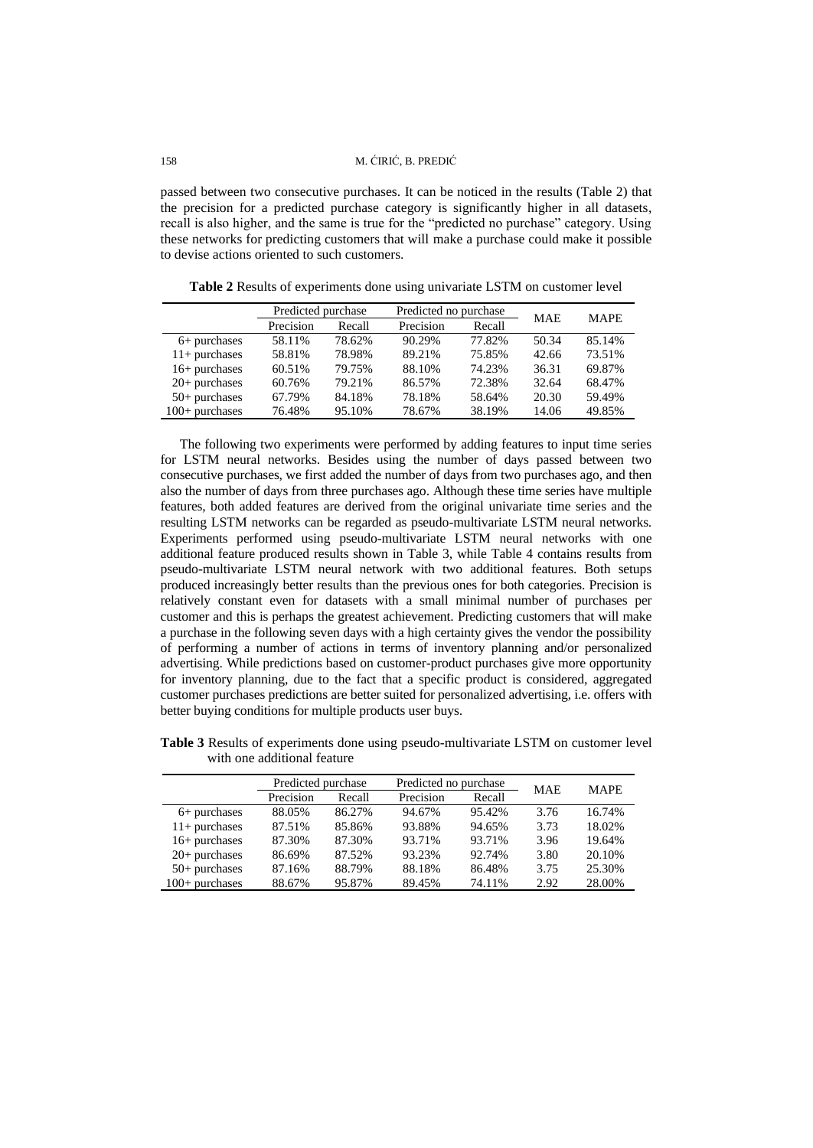passed between two consecutive purchases. It can be noticed in the results (Table 2) that the precision for a predicted purchase category is significantly higher in all datasets, recall is also higher, and the same is true for the "predicted no purchase" category. Using these networks for predicting customers that will make a purchase could make it possible to devise actions oriented to such customers.

**Table 2** Results of experiments done using univariate LSTM on customer level

|                  | Predicted purchase |        | Predicted no purchase |        | <b>MAE</b> | <b>MAPE</b> |
|------------------|--------------------|--------|-----------------------|--------|------------|-------------|
|                  | Precision          | Recall | Precision             | Recall |            |             |
| $6+$ purchases   | 58.11%             | 78.62% | 90.29%                | 77.82% | 50.34      | 85.14%      |
| $11+$ purchases  | 58.81%             | 78.98% | 89.21%                | 75.85% | 42.66      | 73.51%      |
| $16+$ purchases  | 60.51%             | 79.75% | 88.10%                | 74.23% | 36.31      | 69.87%      |
| $20+$ purchases  | 60.76%             | 79.21% | 86.57%                | 72.38% | 32.64      | 68.47%      |
| $50+$ purchases  | 67.79%             | 84.18% | 78.18%                | 58.64% | 20.30      | 59.49%      |
| $100+$ purchases | 76.48%             | 95.10% | 78.67%                | 38.19% | 14.06      | 49.85%      |

The following two experiments were performed by adding features to input time series for LSTM neural networks. Besides using the number of days passed between two consecutive purchases, we first added the number of days from two purchases ago, and then also the number of days from three purchases ago. Although these time series have multiple features, both added features are derived from the original univariate time series and the resulting LSTM networks can be regarded as pseudo-multivariate LSTM neural networks. Experiments performed using pseudo-multivariate LSTM neural networks with one additional feature produced results shown in Table 3, while Table 4 contains results from pseudo-multivariate LSTM neural network with two additional features. Both setups produced increasingly better results than the previous ones for both categories. Precision is relatively constant even for datasets with a small minimal number of purchases per customer and this is perhaps the greatest achievement. Predicting customers that will make a purchase in the following seven days with a high certainty gives the vendor the possibility of performing a number of actions in terms of inventory planning and/or personalized advertising. While predictions based on customer-product purchases give more opportunity for inventory planning, due to the fact that a specific product is considered, aggregated customer purchases predictions are better suited for personalized advertising, i.e. offers with better buying conditions for multiple products user buys.

**Table 3** Results of experiments done using pseudo-multivariate LSTM on customer level with one additional feature

|                  | Predicted purchase |        | Predicted no purchase |        | <b>MAE</b> | <b>MAPE</b> |
|------------------|--------------------|--------|-----------------------|--------|------------|-------------|
|                  | Precision          | Recall | Precision             | Recall |            |             |
| $6+$ purchases   | 88.05%             | 86.27% | 94.67%                | 95.42% | 3.76       | 16.74%      |
| $11+$ purchases  | 87.51%             | 85.86% | 93.88%                | 94.65% | 3.73       | 18.02%      |
| $16+$ purchases  | 87.30%             | 87.30% | 93.71%                | 93.71% | 3.96       | 19.64%      |
| $20+$ purchases  | 86.69%             | 87.52% | 93.23%                | 92.74% | 3.80       | 20.10%      |
| $50+$ purchases  | 87.16%             | 88.79% | 88.18%                | 86.48% | 3.75       | 25.30%      |
| $100+$ purchases | 88.67%             | 95.87% | 89.45%                | 74.11% | 2.92       | 28.00%      |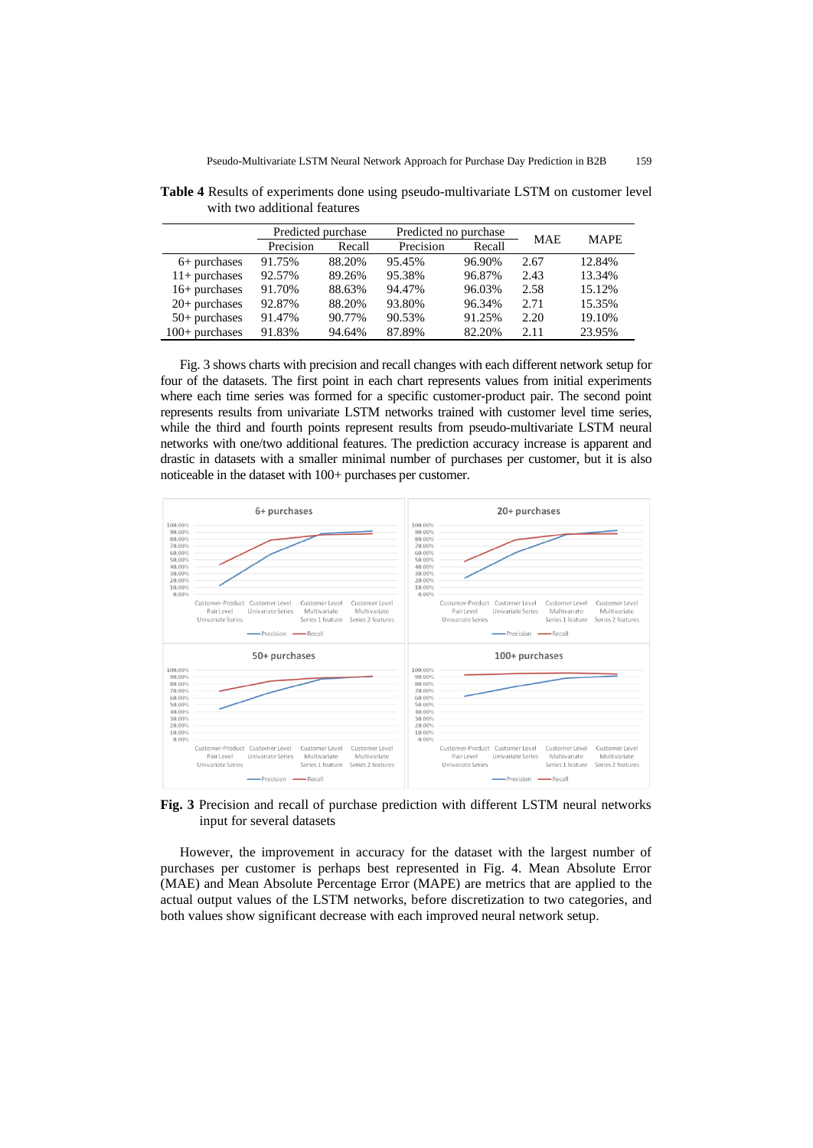|                  | Predicted purchase |        | Predicted no purchase |        | <b>MAE</b> | <b>MAPE</b> |
|------------------|--------------------|--------|-----------------------|--------|------------|-------------|
|                  | Precision          | Recall | Precision             | Recall |            |             |
| $6+$ purchases   | 91.75%             | 88.20% | 95.45%                | 96.90% | 2.67       | 12.84%      |
| $11+$ purchases  | 92.57%             | 89.26% | 95.38%                | 96.87% | 2.43       | 13.34%      |
| $16+$ purchases  | 91.70%             | 88.63% | 94.47%                | 96.03% | 2.58       | 15.12%      |
| $20+$ purchases  | 92.87%             | 88.20% | 93.80%                | 96.34% | 2.71       | 15.35%      |
| $50+$ purchases  | 91.47%             | 90.77% | 90.53%                | 91.25% | 2.20       | 19.10%      |
| $100+$ purchases | 91.83%             | 94.64% | 87.89%                | 82.20% | 2.11       | 23.95%      |

**Table 4** Results of experiments done using pseudo-multivariate LSTM on customer level with two additional features

Fig. 3 shows charts with precision and recall changes with each different network setup for four of the datasets. The first point in each chart represents values from initial experiments where each time series was formed for a specific customer-product pair. The second point represents results from univariate LSTM networks trained with customer level time series, while the third and fourth points represent results from pseudo-multivariate LSTM neural networks with one/two additional features. The prediction accuracy increase is apparent and drastic in datasets with a smaller minimal number of purchases per customer, but it is also noticeable in the dataset with 100+ purchases per customer.



**Fig. 3** Precision and recall of purchase prediction with different LSTM neural networks input for several datasets

However, the improvement in accuracy for the dataset with the largest number of purchases per customer is perhaps best represented in Fig. 4. Mean Absolute Error (MAE) and Mean Absolute Percentage Error (MAPE) are metrics that are applied to the actual output values of the LSTM networks, before discretization to two categories, and both values show significant decrease with each improved neural network setup.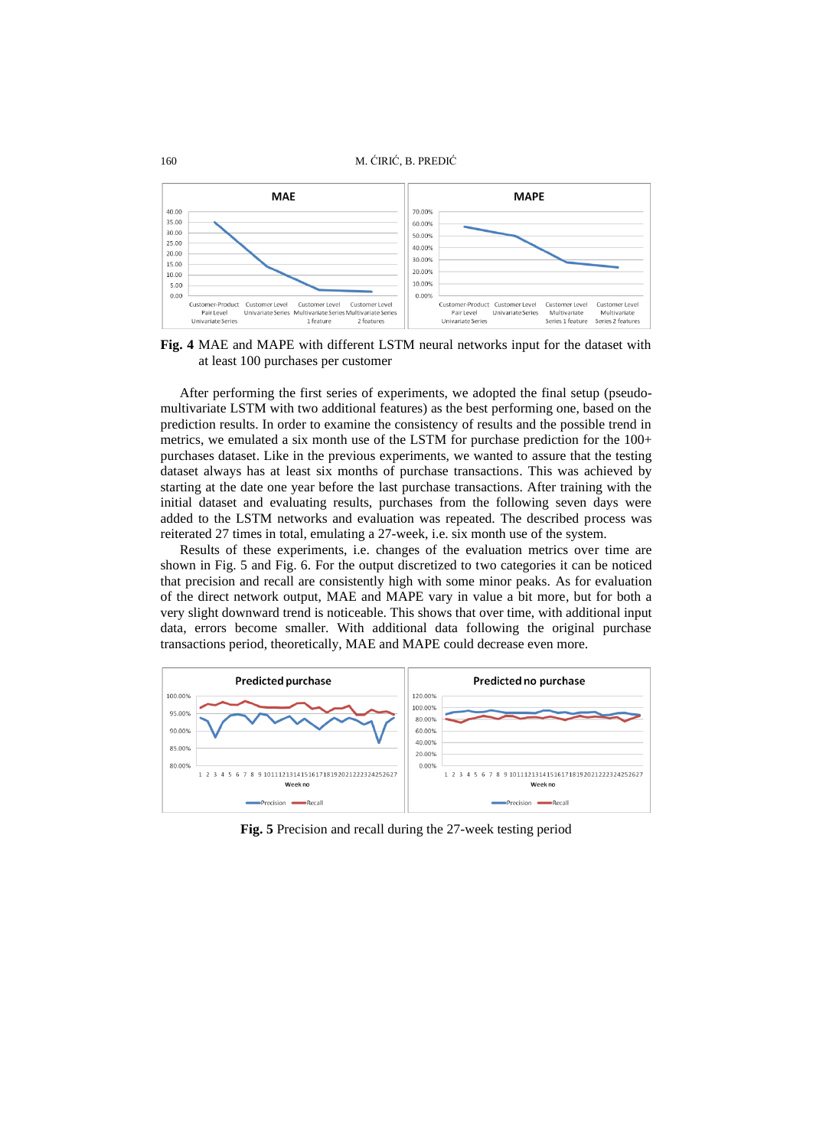```
160 M. ĆIRIĆ, B. PREDIĆ
```


**Fig. 4** MAE and MAPE with different LSTM neural networks input for the dataset with at least 100 purchases per customer

After performing the first series of experiments, we adopted the final setup (pseudomultivariate LSTM with two additional features) as the best performing one, based on the prediction results. In order to examine the consistency of results and the possible trend in metrics, we emulated a six month use of the LSTM for purchase prediction for the 100+ purchases dataset. Like in the previous experiments, we wanted to assure that the testing dataset always has at least six months of purchase transactions. This was achieved by starting at the date one year before the last purchase transactions. After training with the initial dataset and evaluating results, purchases from the following seven days were added to the LSTM networks and evaluation was repeated. The described process was reiterated 27 times in total, emulating a 27-week, i.e. six month use of the system.

Results of these experiments, i.e. changes of the evaluation metrics over time are shown in Fig. 5 and Fig. 6. For the output discretized to two categories it can be noticed that precision and recall are consistently high with some minor peaks. As for evaluation of the direct network output, MAE and MAPE vary in value a bit more, but for both a very slight downward trend is noticeable. This shows that over time, with additional input data, errors become smaller. With additional data following the original purchase transactions period, theoretically, MAE and MAPE could decrease even more.



**Fig. 5** Precision and recall during the 27-week testing period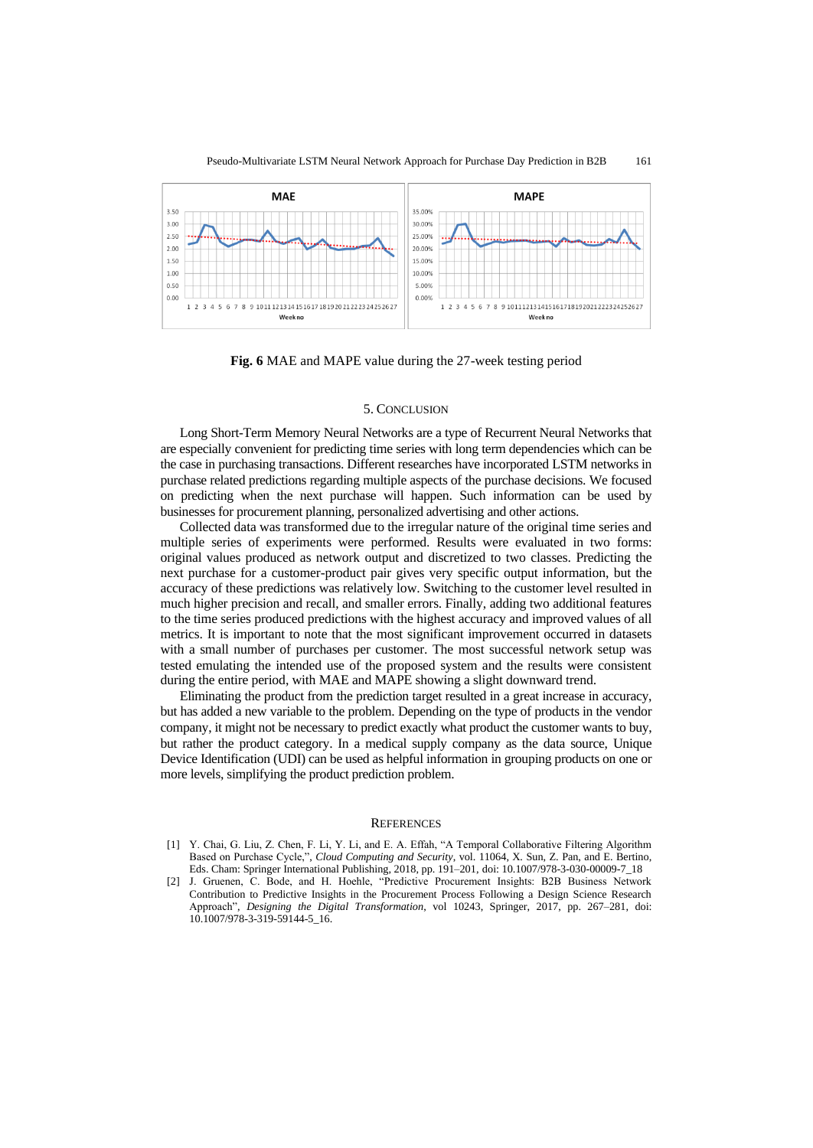

**Fig. 6** MAE and MAPE value during the 27-week testing period

## 5. CONCLUSION

Long Short-Term Memory Neural Networks are a type of Recurrent Neural Networks that are especially convenient for predicting time series with long term dependencies which can be the case in purchasing transactions. Different researches have incorporated LSTM networks in purchase related predictions regarding multiple aspects of the purchase decisions. We focused on predicting when the next purchase will happen. Such information can be used by businesses for procurement planning, personalized advertising and other actions.

Collected data was transformed due to the irregular nature of the original time series and multiple series of experiments were performed. Results were evaluated in two forms: original values produced as network output and discretized to two classes. Predicting the next purchase for a customer-product pair gives very specific output information, but the accuracy of these predictions was relatively low. Switching to the customer level resulted in much higher precision and recall, and smaller errors. Finally, adding two additional features to the time series produced predictions with the highest accuracy and improved values of all metrics. It is important to note that the most significant improvement occurred in datasets with a small number of purchases per customer. The most successful network setup was tested emulating the intended use of the proposed system and the results were consistent during the entire period, with MAE and MAPE showing a slight downward trend.

Eliminating the product from the prediction target resulted in a great increase in accuracy, but has added a new variable to the problem. Depending on the type of products in the vendor company, it might not be necessary to predict exactly what product the customer wants to buy, but rather the product category. In a medical supply company as the data source, Unique Device Identification (UDI) can be used as helpful information in grouping products on one or more levels, simplifying the product prediction problem.

#### **REFERENCES**

- [1] Y. Chai, G. Liu, Z. Chen, F. Li, Y. Li, and E. A. Effah, "A Temporal Collaborative Filtering Algorithm Based on Purchase Cycle,", *Cloud Computing and Security*, vol. 11064, X. Sun, Z. Pan, and E. Bertino, Eds. Cham: Springer International Publishing, 2018, pp. 191–201, doi: 10.1007/978-3-030-00009-7\_18
- [2] J. Gruenen, C. Bode, and H. Hoehle, "Predictive Procurement Insights: B2B Business Network Contribution to Predictive Insights in the Procurement Process Following a Design Science Research Approach", *Designing the Digital Transformation*, vol 10243, Springer, 2017, pp. 267–281, doi: 10.1007/978-3-319-59144-5\_16.